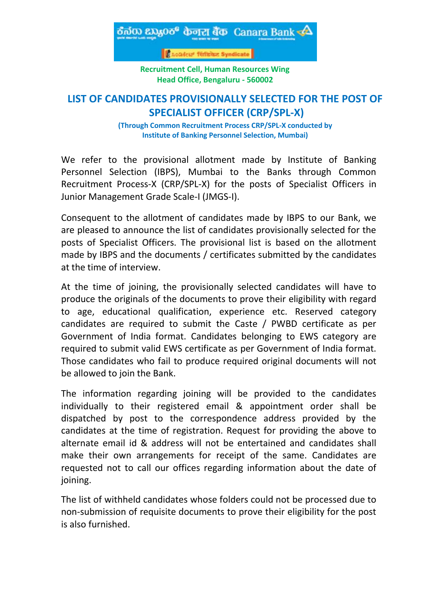

**Recruitment Cell, Human Resources Wing Head Office, Bengaluru - 560002**

# **LIST OF CANDIDATES PROVISIONALLY SELECTED FOR THE POST OF SPECIALIST OFFICER (CRP/SPL-X)**

**(Through Common Recruitment Process CRP/SPL-X conducted by Institute of Banking Personnel Selection, Mumbai)**

We refer to the provisional allotment made by Institute of Banking Personnel Selection (IBPS), Mumbai to the Banks through Common Recruitment Process-X (CRP/SPL-X) for the posts of Specialist Officers in Junior Management Grade Scale-I (JMGS-I).

Consequent to the allotment of candidates made by IBPS to our Bank, we are pleased to announce the list of candidates provisionally selected for the posts of Specialist Officers. The provisional list is based on the allotment made by IBPS and the documents / certificates submitted by the candidates at the time of interview.

At the time of joining, the provisionally selected candidates will have to produce the originals of the documents to prove their eligibility with regard to age, educational qualification, experience etc. Reserved category candidates are required to submit the Caste / PWBD certificate as per Government of India format. Candidates belonging to EWS category are required to submit valid EWS certificate as per Government of India format. Those candidates who fail to produce required original documents will not be allowed to join the Bank.

The information regarding joining will be provided to the candidates individually to their registered email & appointment order shall be dispatched by post to the correspondence address provided by the candidates at the time of registration. Request for providing the above to alternate email id & address will not be entertained and candidates shall make their own arrangements for receipt of the same. Candidates are requested not to call our offices regarding information about the date of joining.

The list of withheld candidates whose folders could not be processed due to non-submission of requisite documents to prove their eligibility for the post is also furnished.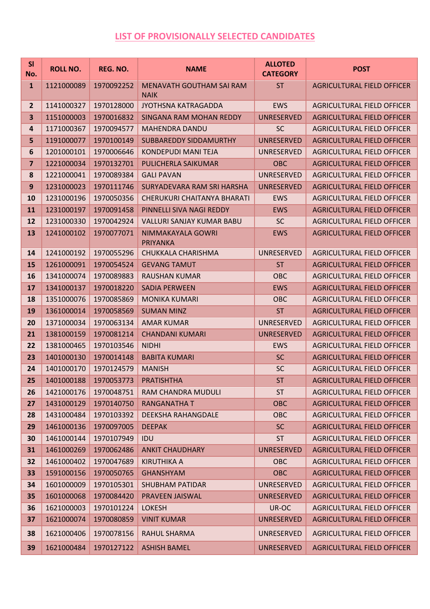## **LIST OF PROVISIONALLY SELECTED CANDIDATES**

| SI<br>No.      | <b>ROLL NO.</b> | REG. NO.   | <b>NAME</b>                                    | <b>ALLOTED</b><br><b>CATEGORY</b> | <b>POST</b>                       |
|----------------|-----------------|------------|------------------------------------------------|-----------------------------------|-----------------------------------|
| $\mathbf{1}$   | 1121000089      | 1970092252 | <b>MENAVATH GOUTHAM SAI RAM</b><br><b>NAIK</b> | <b>ST</b>                         | <b>AGRICULTURAL FIELD OFFICER</b> |
| $\overline{2}$ | 1141000327      | 1970128000 | JYOTHSNA KATRAGADDA                            | <b>EWS</b>                        | <b>AGRICULTURAL FIELD OFFICER</b> |
| 3              | 1151000003      | 1970016832 | <b>SINGANA RAM MOHAN REDDY</b>                 | <b>UNRESERVED</b>                 | <b>AGRICULTURAL FIELD OFFICER</b> |
| 4              | 1171000367      | 1970094577 | <b>MAHENDRA DANDU</b>                          | <b>SC</b>                         | AGRICULTURAL FIELD OFFICER        |
| 5              | 1191000077      | 1970100149 | <b>SUBBAREDDY SIDDAMURTHY</b>                  | <b>UNRESERVED</b>                 | <b>AGRICULTURAL FIELD OFFICER</b> |
| 6              | 1201000101      | 1970006646 | <b>KONDEPUDI MANI TEJA</b>                     | UNRESERVED                        | <b>AGRICULTURAL FIELD OFFICER</b> |
| $\overline{7}$ | 1221000034      | 1970132701 | PULICHERLA SAIKUMAR                            | <b>OBC</b>                        | <b>AGRICULTURAL FIELD OFFICER</b> |
| 8              | 1221000041      | 1970089384 | <b>GALI PAVAN</b>                              | UNRESERVED                        | <b>AGRICULTURAL FIELD OFFICER</b> |
| 9              | 1231000023      | 1970111746 | SURYADEVARA RAM SRI HARSHA                     | <b>UNRESERVED</b>                 | <b>AGRICULTURAL FIELD OFFICER</b> |
| 10             | 1231000196      | 1970050356 | CHERUKURI CHAITANYA BHARATI                    | <b>EWS</b>                        | <b>AGRICULTURAL FIELD OFFICER</b> |
| 11             | 1231000197      | 1970091458 | PINNELLI SIVA NAGI REDDY                       | <b>EWS</b>                        | <b>AGRICULTURAL FIELD OFFICER</b> |
| 12             | 1231000330      | 1970042924 | <b>VALLURI SANJAY KUMAR BABU</b>               | <b>SC</b>                         | <b>AGRICULTURAL FIELD OFFICER</b> |
| 13             | 1241000102      | 1970077071 | NIMMAKAYALA GOWRI<br><b>PRIYANKA</b>           | <b>EWS</b>                        | <b>AGRICULTURAL FIELD OFFICER</b> |
| 14             | 1241000192      | 1970055296 | CHUKKALA CHARISHMA                             | UNRESERVED                        | <b>AGRICULTURAL FIELD OFFICER</b> |
| 15             | 1261000091      | 1970054524 | <b>GEVANG TAMUT</b>                            | <b>ST</b>                         | <b>AGRICULTURAL FIELD OFFICER</b> |
| <b>16</b>      | 1341000074      | 1970089883 | <b>RAUSHAN KUMAR</b>                           | <b>OBC</b>                        | AGRICULTURAL FIELD OFFICER        |
| 17             | 1341000137      | 1970018220 | <b>SADIA PERWEEN</b>                           | <b>EWS</b>                        | <b>AGRICULTURAL FIELD OFFICER</b> |
| 18             | 1351000076      | 1970085869 | <b>MONIKA KUMARI</b>                           | OBC                               | <b>AGRICULTURAL FIELD OFFICER</b> |
| 19             | 1361000014      | 1970058569 | <b>SUMAN MINZ</b>                              | <b>ST</b>                         | <b>AGRICULTURAL FIELD OFFICER</b> |
| 20             | 1371000034      | 1970063134 | <b>AMAR KUMAR</b>                              | UNRESERVED                        | <b>AGRICULTURAL FIELD OFFICER</b> |
| 21             | 1381000159      | 1970081214 | <b>CHANDANI KUMARI</b>                         | <b>UNRESERVED</b>                 | <b>AGRICULTURAL FIELD OFFICER</b> |
| 22             | 1381000465      | 1970103546 | <b>NIDHI</b>                                   | <b>EWS</b>                        | <b>AGRICULTURAL FIELD OFFICER</b> |
| 23             | 1401000130      | 1970014148 | <b>BABITA KUMARI</b>                           | <b>SC</b>                         | <b>AGRICULTURAL FIELD OFFICER</b> |
| 24             | 1401000170      | 1970124579 | <b>MANISH</b>                                  | <b>SC</b>                         | <b>AGRICULTURAL FIELD OFFICER</b> |
| 25             | 1401000188      | 1970053773 | <b>PRATISHTHA</b>                              | <b>ST</b>                         | <b>AGRICULTURAL FIELD OFFICER</b> |
| 26             | 1421000176      | 1970048751 | RAM CHANDRA MUDULI                             | <b>ST</b>                         | AGRICULTURAL FIELD OFFICER        |
| 27             | 1431000129      | 1970140750 | <b>RANGANATHA T</b>                            | <b>OBC</b>                        | <b>AGRICULTURAL FIELD OFFICER</b> |
| 28             | 1431000484      | 1970103392 | DEEKSHA RAHANGDALE                             | <b>OBC</b>                        | AGRICULTURAL FIELD OFFICER        |
| 29             | 1461000136      | 1970097005 | <b>DEEPAK</b>                                  | <b>SC</b>                         | <b>AGRICULTURAL FIELD OFFICER</b> |
| 30             | 1461000144      | 1970107949 | IDU                                            | <b>ST</b>                         | <b>AGRICULTURAL FIELD OFFICER</b> |
| 31             | 1461000269      | 1970062486 | <b>ANKIT CHAUDHARY</b>                         | <b>UNRESERVED</b>                 | <b>AGRICULTURAL FIELD OFFICER</b> |
| 32             | 1461000402      | 1970047689 | <b>KIRUTHIKA A</b>                             | <b>OBC</b>                        | AGRICULTURAL FIELD OFFICER        |
| 33             | 1591000156      | 1970050765 | <b>GHANSHYAM</b>                               | <b>OBC</b>                        | <b>AGRICULTURAL FIELD OFFICER</b> |
| 34             | 1601000009      | 1970105301 | <b>SHUBHAM PATIDAR</b>                         | UNRESERVED                        | AGRICULTURAL FIELD OFFICER        |
| 35             | 1601000068      | 1970084420 | PRAVEEN JAISWAL                                | <b>UNRESERVED</b>                 | <b>AGRICULTURAL FIELD OFFICER</b> |
| 36             | 1621000003      | 1970101224 | <b>LOKESH</b>                                  | UR-OC                             | <b>AGRICULTURAL FIELD OFFICER</b> |
| 37             | 1621000074      | 1970080859 | <b>VINIT KUMAR</b>                             | <b>UNRESERVED</b>                 | <b>AGRICULTURAL FIELD OFFICER</b> |
| 38             | 1621000406      | 1970078156 | RAHUL SHARMA                                   | UNRESERVED                        | <b>AGRICULTURAL FIELD OFFICER</b> |
| 39             | 1621000484      | 1970127122 | <b>ASHISH BAMEL</b>                            | <b>UNRESERVED</b>                 | <b>AGRICULTURAL FIELD OFFICER</b> |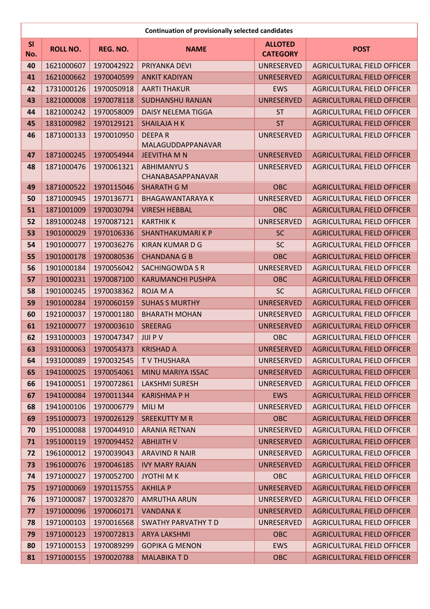|     | <b>Continuation of provisionally selected candidates</b> |            |                                    |                   |                                   |  |  |
|-----|----------------------------------------------------------|------------|------------------------------------|-------------------|-----------------------------------|--|--|
| SI  | <b>ROLL NO.</b>                                          | REG. NO.   | <b>NAME</b>                        | <b>ALLOTED</b>    | <b>POST</b>                       |  |  |
| No. |                                                          |            |                                    | <b>CATEGORY</b>   |                                   |  |  |
| 40  | 1621000607                                               | 1970042922 | PRIYANKA DEVI                      | <b>UNRESERVED</b> | <b>AGRICULTURAL FIELD OFFICER</b> |  |  |
| 41  | 1621000662                                               | 1970040599 | <b>ANKIT KADIYAN</b>               | <b>UNRESERVED</b> | <b>AGRICULTURAL FIELD OFFICER</b> |  |  |
| 42  | 1731000126                                               | 1970050918 | <b>AARTI THAKUR</b>                | <b>EWS</b>        | <b>AGRICULTURAL FIELD OFFICER</b> |  |  |
| 43  | 1821000008                                               | 1970078118 | <b>SUDHANSHU RANJAN</b>            | <b>UNRESERVED</b> | <b>AGRICULTURAL FIELD OFFICER</b> |  |  |
| 44  | 1821000242                                               | 1970058009 | <b>DAISY NELEMA TIGGA</b>          | <b>ST</b>         | <b>AGRICULTURAL FIELD OFFICER</b> |  |  |
| 45  | 1831000982                                               | 1970129121 | <b>SHAILAJA H K</b>                | <b>ST</b>         | <b>AGRICULTURAL FIELD OFFICER</b> |  |  |
| 46  | 1871000133                                               | 1970010950 | <b>DEEPAR</b><br>MALAGUDDAPPANAVAR | UNRESERVED        | <b>AGRICULTURAL FIELD OFFICER</b> |  |  |
| 47  | 1871000245                                               | 1970054944 | <b>JEEVITHA M N</b>                | <b>UNRESERVED</b> | <b>AGRICULTURAL FIELD OFFICER</b> |  |  |
| 48  | 1871000476                                               | 1970061321 | <b>ABHIMANYU S</b>                 | UNRESERVED        | <b>AGRICULTURAL FIELD OFFICER</b> |  |  |
|     |                                                          |            | CHANABASAPPANAVAR                  |                   |                                   |  |  |
| 49  | 1871000522                                               | 1970115046 | <b>SHARATH G M</b>                 | <b>OBC</b>        | <b>AGRICULTURAL FIELD OFFICER</b> |  |  |
| 50  | 1871000945                                               | 1970136771 | <b>BHAGAWANTARAYA K</b>            | UNRESERVED        | <b>AGRICULTURAL FIELD OFFICER</b> |  |  |
| 51  | 1871001009                                               | 1970030794 | <b>VIRESH HEBBAL</b>               | <b>OBC</b>        | <b>AGRICULTURAL FIELD OFFICER</b> |  |  |
| 52  | 1891000248                                               | 1970087121 | <b>KARTHIKK</b>                    | <b>UNRESERVED</b> | <b>AGRICULTURAL FIELD OFFICER</b> |  |  |
| 53  | 1901000029                                               | 1970106336 | <b>SHANTHAKUMARIKP</b>             | <b>SC</b>         | <b>AGRICULTURAL FIELD OFFICER</b> |  |  |
| 54  | 1901000077                                               | 1970036276 | <b>KIRAN KUMAR D G</b>             | <b>SC</b>         | <b>AGRICULTURAL FIELD OFFICER</b> |  |  |
| 55  | 1901000178                                               | 1970080536 | <b>CHANDANA G B</b>                | <b>OBC</b>        | <b>AGRICULTURAL FIELD OFFICER</b> |  |  |
| 56  | 1901000184                                               | 1970056042 | <b>SACHINGOWDA S R</b>             | UNRESERVED        | <b>AGRICULTURAL FIELD OFFICER</b> |  |  |
| 57  | 1901000231                                               | 1970087100 | <b>KARUMANCHI PUSHPA</b>           | <b>OBC</b>        | <b>AGRICULTURAL FIELD OFFICER</b> |  |  |
| 58  | 1901000245                                               | 1970038362 | <b>ROJA MA</b>                     | <b>SC</b>         | <b>AGRICULTURAL FIELD OFFICER</b> |  |  |
| 59  | 1901000284                                               | 1970060159 | <b>SUHAS S MURTHY</b>              | <b>UNRESERVED</b> | <b>AGRICULTURAL FIELD OFFICER</b> |  |  |
| 60  | 1921000037                                               | 1970001180 | <b>BHARATH MOHAN</b>               | <b>UNRESERVED</b> | <b>AGRICULTURAL FIELD OFFICER</b> |  |  |
| 61  | 1921000077                                               | 1970003610 | <b>SREERAG</b>                     | <b>UNRESERVED</b> | <b>AGRICULTURAL FIELD OFFICER</b> |  |  |
| 62  | 1931000003                                               | 1970047347 | <b>JIJI P V</b>                    | <b>OBC</b>        | <b>AGRICULTURAL FIELD OFFICER</b> |  |  |
| 63  | 1931000063                                               | 1970054373 | <b>KRISHAD A</b>                   | UNRESERVED        | <b>AGRICULTURAL FIELD OFFICER</b> |  |  |
| 64  | 1931000089                                               | 1970032545 | <b>TV THUSHARA</b>                 | <b>UNRESERVED</b> | <b>AGRICULTURAL FIELD OFFICER</b> |  |  |
| 65  | 1941000025                                               | 1970054061 | MINU MARIYA ISSAC                  | <b>UNRESERVED</b> | <b>AGRICULTURAL FIELD OFFICER</b> |  |  |
| 66  | 1941000051                                               | 1970072861 | <b>LAKSHMI SURESH</b>              | UNRESERVED        | <b>AGRICULTURAL FIELD OFFICER</b> |  |  |
| 67  | 1941000084                                               | 1970011344 | <b>KARISHMAPH</b>                  | <b>EWS</b>        | <b>AGRICULTURAL FIELD OFFICER</b> |  |  |
| 68  | 1941000106                                               | 1970006779 | <b>MILI M</b>                      | UNRESERVED        | AGRICULTURAL FIELD OFFICER        |  |  |
| 69  | 1951000073                                               | 1970026129 | <b>SREEKUTTY M R</b>               | <b>OBC</b>        | <b>AGRICULTURAL FIELD OFFICER</b> |  |  |
| 70  | 1951000088                                               | 1970044910 | <b>ARANIA RETNAN</b>               | <b>UNRESERVED</b> | <b>AGRICULTURAL FIELD OFFICER</b> |  |  |
| 71  | 1951000119                                               | 1970094452 | <b>ABHIJITH V</b>                  | <b>UNRESERVED</b> | <b>AGRICULTURAL FIELD OFFICER</b> |  |  |
| 72  | 1961000012                                               | 1970039043 | <b>ARAVIND R NAIR</b>              | UNRESERVED        | <b>AGRICULTURAL FIELD OFFICER</b> |  |  |
| 73  | 1961000076                                               | 1970046185 | <b>IVY MARY RAJAN</b>              | <b>UNRESERVED</b> | <b>AGRICULTURAL FIELD OFFICER</b> |  |  |
| 74  | 1971000027                                               | 1970052700 | <b>JYOTHIMK</b>                    | <b>OBC</b>        | AGRICULTURAL FIELD OFFICER        |  |  |
| 75  | 1971000069                                               | 1970115755 | <b>AKHILA P</b>                    | <b>UNRESERVED</b> | <b>AGRICULTURAL FIELD OFFICER</b> |  |  |
| 76  | 1971000087                                               | 1970032870 | <b>AMRUTHA ARUN</b>                | <b>UNRESERVED</b> | <b>AGRICULTURAL FIELD OFFICER</b> |  |  |
| 77  | 1971000096                                               | 1970060171 | <b>VANDANAK</b>                    | <b>UNRESERVED</b> | <b>AGRICULTURAL FIELD OFFICER</b> |  |  |
| 78  | 1971000103                                               | 1970016568 | SWATHY PARVATHY TD                 | UNRESERVED        | AGRICULTURAL FIELD OFFICER        |  |  |
| 79  | 1971000123                                               | 1970072813 | <b>ARYA LAKSHMI</b>                | <b>OBC</b>        | <b>AGRICULTURAL FIELD OFFICER</b> |  |  |
| 80  | 1971000153                                               | 1970089299 | <b>GOPIKA G MENON</b>              | <b>EWS</b>        | AGRICULTURAL FIELD OFFICER        |  |  |
| 81  | 1971000155                                               | 1970020788 | <b>MALABIKATD</b>                  | <b>OBC</b>        | <b>AGRICULTURAL FIELD OFFICER</b> |  |  |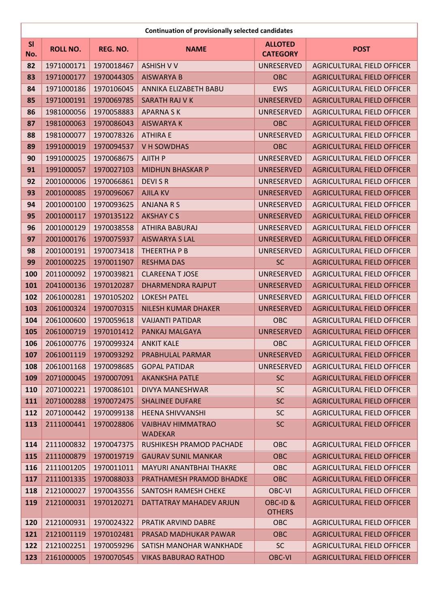|                  | <b>Continuation of provisionally selected candidates</b> |            |                                            |                                   |                                   |  |
|------------------|----------------------------------------------------------|------------|--------------------------------------------|-----------------------------------|-----------------------------------|--|
| <b>SI</b><br>No. | <b>ROLL NO.</b>                                          | REG. NO.   | <b>NAME</b>                                | <b>ALLOTED</b><br><b>CATEGORY</b> | <b>POST</b>                       |  |
| 82               | 1971000171                                               | 1970018467 | <b>ASHISH V V</b>                          | UNRESERVED                        | <b>AGRICULTURAL FIELD OFFICER</b> |  |
| 83               | 1971000177                                               | 1970044305 | <b>AISWARYA B</b>                          | <b>OBC</b>                        | <b>AGRICULTURAL FIELD OFFICER</b> |  |
| 84               | 1971000186                                               | 1970106045 | ANNIKA ELIZABETH BABU                      | <b>EWS</b>                        | <b>AGRICULTURAL FIELD OFFICER</b> |  |
| 85               | 1971000191                                               | 1970069785 | SARATH RAJ V K                             | <b>UNRESERVED</b>                 | <b>AGRICULTURAL FIELD OFFICER</b> |  |
| 86               | 1981000056                                               | 1970058883 | <b>APARNASK</b>                            | <b>UNRESERVED</b>                 | <b>AGRICULTURAL FIELD OFFICER</b> |  |
| 87               | 1981000063                                               | 1970086043 | <b>AISWARYA K</b>                          | <b>OBC</b>                        | <b>AGRICULTURAL FIELD OFFICER</b> |  |
| 88               | 1981000077                                               | 1970078326 | <b>ATHIRA E</b>                            | UNRESERVED                        | <b>AGRICULTURAL FIELD OFFICER</b> |  |
| 89               | 1991000019                                               | 1970094537 | V H SOWDHAS                                | <b>OBC</b>                        | <b>AGRICULTURAL FIELD OFFICER</b> |  |
| 90               | 1991000025                                               | 1970068675 | <b>AJITH P</b>                             | <b>UNRESERVED</b>                 | <b>AGRICULTURAL FIELD OFFICER</b> |  |
| 91               | 1991000057                                               | 1970027103 | <b>MIDHUN BHASKAR P</b>                    | <b>UNRESERVED</b>                 | <b>AGRICULTURAL FIELD OFFICER</b> |  |
| 92               | 2001000006                                               | 1970066861 | <b>DEVISR</b>                              | <b>UNRESERVED</b>                 | <b>AGRICULTURAL FIELD OFFICER</b> |  |
| 93               | 2001000085                                               | 1970096067 | <b>AJILA KV</b>                            | <b>UNRESERVED</b>                 | <b>AGRICULTURAL FIELD OFFICER</b> |  |
| 94               | 2001000100                                               | 1970093625 | <b>ANJANA R S</b>                          | <b>UNRESERVED</b>                 | <b>AGRICULTURAL FIELD OFFICER</b> |  |
| 95               | 2001000117                                               | 1970135122 | <b>AKSHAY CS</b>                           | <b>UNRESERVED</b>                 | <b>AGRICULTURAL FIELD OFFICER</b> |  |
| 96               | 2001000129                                               | 1970038558 | ATHIRA BABURAJ                             | <b>UNRESERVED</b>                 | <b>AGRICULTURAL FIELD OFFICER</b> |  |
| 97               | 2001000176                                               | 1970075937 | <b>AISWARYA S LAL</b>                      | <b>UNRESERVED</b>                 | <b>AGRICULTURAL FIELD OFFICER</b> |  |
| 98               | 2001000191                                               | 1970073418 | THEERTHA P B                               | <b>UNRESERVED</b>                 | <b>AGRICULTURAL FIELD OFFICER</b> |  |
| 99               | 2001000225                                               | 1970011907 | <b>RESHMA DAS</b>                          | <b>SC</b>                         | <b>AGRICULTURAL FIELD OFFICER</b> |  |
| 100              | 2011000092                                               | 1970039821 | <b>CLAREENA T JOSE</b>                     | <b>UNRESERVED</b>                 | <b>AGRICULTURAL FIELD OFFICER</b> |  |
| 101              | 2041000136                                               | 1970120287 | <b>DHARMENDRA RAJPUT</b>                   | <b>UNRESERVED</b>                 | <b>AGRICULTURAL FIELD OFFICER</b> |  |
| 102              | 2061000281                                               | 1970105202 | <b>LOKESH PATEL</b>                        | <b>UNRESERVED</b>                 | <b>AGRICULTURAL FIELD OFFICER</b> |  |
| 103              | 2061000324                                               | 1970070315 | <b>NILESH KUMAR DHAKER</b>                 | <b>UNRESERVED</b>                 | <b>AGRICULTURAL FIELD OFFICER</b> |  |
| 104              | 2061000600                                               | 1970059618 | <b>VAIJANTI PATIDAR</b>                    | OBC                               | <b>AGRICULTURAL FIELD OFFICER</b> |  |
| 105              | 2061000719                                               | 1970101412 | PANKAJ MALGAYA                             | <b>UNRESERVED</b>                 | <b>AGRICULTURAL FIELD OFFICER</b> |  |
| 106              | 2061000776                                               | 1970099324 | <b>ANKIT KALE</b>                          | OBC                               | <b>AGRICULTURAL FIELD OFFICER</b> |  |
| 107              | 2061001119                                               | 1970093292 | PRABHULAL PARMAR                           | <b>UNRESERVED</b>                 | <b>AGRICULTURAL FIELD OFFICER</b> |  |
| 108              | 2061001168                                               | 1970098685 | <b>GOPAL PATIDAR</b>                       | <b>UNRESERVED</b>                 | <b>AGRICULTURAL FIELD OFFICER</b> |  |
| 109              | 2071000045                                               | 1970007091 | <b>AKANKSHA PATLE</b>                      | <b>SC</b>                         | <b>AGRICULTURAL FIELD OFFICER</b> |  |
| 110              | 2071000221                                               | 1970086101 | DIVYA MANESHWAR                            | <b>SC</b>                         | <b>AGRICULTURAL FIELD OFFICER</b> |  |
| 111              | 2071000288                                               | 1970072475 | <b>SHALINEE DUFARE</b>                     | <b>SC</b>                         | <b>AGRICULTURAL FIELD OFFICER</b> |  |
| 112              | 2071000442                                               | 1970099138 | <b>HEENA SHIVVANSHI</b>                    | <b>SC</b>                         | <b>AGRICULTURAL FIELD OFFICER</b> |  |
| 113              | 2111000441                                               | 1970028806 | <b>VAIBHAV HIMMATRAO</b><br><b>WADEKAR</b> | <b>SC</b>                         | <b>AGRICULTURAL FIELD OFFICER</b> |  |
| 114              | 2111000832                                               | 1970047375 | RUSHIKESH PRAMOD PACHADE                   | OBC                               | <b>AGRICULTURAL FIELD OFFICER</b> |  |
| 115              | 2111000879                                               | 1970019719 | <b>GAURAV SUNIL MANKAR</b>                 | <b>OBC</b>                        | <b>AGRICULTURAL FIELD OFFICER</b> |  |
| 116              | 2111001205                                               | 1970011011 | MAYURI ANANTBHAI THAKRE                    | <b>OBC</b>                        | <b>AGRICULTURAL FIELD OFFICER</b> |  |
| 117              | 2111001335                                               | 1970088033 | PRATHAMESH PRAMOD BHADKE                   | <b>OBC</b>                        | <b>AGRICULTURAL FIELD OFFICER</b> |  |
| 118              | 2121000027                                               | 1970043556 | SANTOSH RAMESH CHEKE                       | <b>OBC-VI</b>                     | <b>AGRICULTURAL FIELD OFFICER</b> |  |
| 119              | 2121000031                                               | 1970120271 | DATTATRAY MAHADEV ARJUN                    | OBC-ID&                           | <b>AGRICULTURAL FIELD OFFICER</b> |  |
|                  |                                                          |            |                                            | <b>OTHERS</b>                     |                                   |  |
| 120              | 2121000931                                               | 1970024322 | PRATIK ARVIND DABRE                        | <b>OBC</b>                        | <b>AGRICULTURAL FIELD OFFICER</b> |  |
| 121              | 2121001119                                               | 1970102481 | PRASAD MADHUKAR PAWAR                      | <b>OBC</b>                        | <b>AGRICULTURAL FIELD OFFICER</b> |  |
| 122              | 2121002251                                               | 1970059296 | SATISH MANOHAR WANKHADE                    | <b>SC</b>                         | AGRICULTURAL FIELD OFFICER        |  |
| 123              | 2161000005                                               | 1970070545 | <b>VIKAS BABURAO RATHOD</b>                | <b>OBC-VI</b>                     | <b>AGRICULTURAL FIELD OFFICER</b> |  |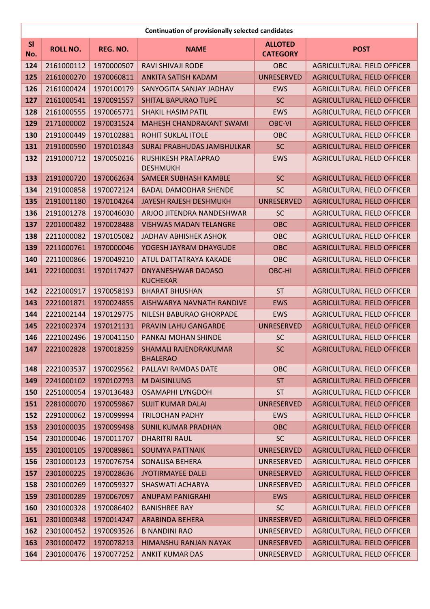|                  | <b>Continuation of provisionally selected candidates</b> |            |                                              |                                   |                                   |  |
|------------------|----------------------------------------------------------|------------|----------------------------------------------|-----------------------------------|-----------------------------------|--|
| <b>SI</b><br>No. | <b>ROLL NO.</b>                                          | REG. NO.   | <b>NAME</b>                                  | <b>ALLOTED</b><br><b>CATEGORY</b> | <b>POST</b>                       |  |
| 124              | 2161000112                                               | 1970000507 | <b>RAVI SHIVAJI RODE</b>                     | OBC                               | <b>AGRICULTURAL FIELD OFFICER</b> |  |
| 125              | 2161000270                                               | 1970060811 | <b>ANKITA SATISH KADAM</b>                   | <b>UNRESERVED</b>                 | <b>AGRICULTURAL FIELD OFFICER</b> |  |
| 126              | 2161000424                                               | 1970100179 | SANYOGITA SANJAY JADHAV                      | <b>EWS</b>                        | <b>AGRICULTURAL FIELD OFFICER</b> |  |
| 127              | 2161000541                                               | 1970091557 | <b>SHITAL BAPURAO TUPE</b>                   | <b>SC</b>                         | <b>AGRICULTURAL FIELD OFFICER</b> |  |
| 128              | 2161000555                                               | 1970065771 | <b>SHAKIL HASIM PATIL</b>                    | <b>EWS</b>                        | <b>AGRICULTURAL FIELD OFFICER</b> |  |
| 129              | 2171000002                                               | 1970031524 | <b>MAHESH CHANDRAKANT SWAMI</b>              | <b>OBC-VI</b>                     | <b>AGRICULTURAL FIELD OFFICER</b> |  |
| 130              | 2191000449                                               | 1970102881 | <b>ROHIT SUKLAL ITOLE</b>                    | OBC                               | <b>AGRICULTURAL FIELD OFFICER</b> |  |
| 131              | 2191000590                                               | 1970101843 | <b>SURAJ PRABHUDAS JAMBHULKAR</b>            | <b>SC</b>                         | <b>AGRICULTURAL FIELD OFFICER</b> |  |
| 132              | 2191000712                                               | 1970050216 | RUSHIKESH PRATAPRAO<br><b>DESHMUKH</b>       | <b>EWS</b>                        | <b>AGRICULTURAL FIELD OFFICER</b> |  |
| 133              | 2191000720                                               | 1970062634 | <b>SAMEER SUBHASH KAMBLE</b>                 | <b>SC</b>                         | <b>AGRICULTURAL FIELD OFFICER</b> |  |
| 134              | 2191000858                                               | 1970072124 | <b>BADAL DAMODHAR SHENDE</b>                 | <b>SC</b>                         | <b>AGRICULTURAL FIELD OFFICER</b> |  |
| 135              | 2191001180                                               | 1970104264 | <b>JAYESH RAJESH DESHMUKH</b>                | <b>UNRESERVED</b>                 | <b>AGRICULTURAL FIELD OFFICER</b> |  |
| 136              | 2191001278                                               | 1970046030 | ARJOO JITENDRA NANDESHWAR                    | <b>SC</b>                         | <b>AGRICULTURAL FIELD OFFICER</b> |  |
| 137              | 2201000482                                               | 1970028488 | <b>VISHWAS MADAN TELANGRE</b>                | <b>OBC</b>                        | <b>AGRICULTURAL FIELD OFFICER</b> |  |
| 138              | 2211000082                                               | 1970105082 | <b>JADHAV ABHISHEK ASHOK</b>                 | <b>OBC</b>                        | <b>AGRICULTURAL FIELD OFFICER</b> |  |
| 139              | 2211000761                                               | 1970000046 | YOGESH JAYRAM DHAYGUDE                       | <b>OBC</b>                        | <b>AGRICULTURAL FIELD OFFICER</b> |  |
| 140              | 2211000866                                               | 1970049210 | ATUL DATTATRAYA KAKADE                       | OBC                               | <b>AGRICULTURAL FIELD OFFICER</b> |  |
| 141              | 2221000031                                               | 1970117427 | <b>DNYANESHWAR DADASO</b><br><b>KUCHEKAR</b> | OBC-HI                            | <b>AGRICULTURAL FIELD OFFICER</b> |  |
| 142              | 2221000917                                               | 1970058193 | <b>BHARAT BHUSHAN</b>                        | <b>ST</b>                         | <b>AGRICULTURAL FIELD OFFICER</b> |  |
| 143              | 2221001871                                               | 1970024855 | AISHWARYA NAVNATH RANDIVE                    | <b>EWS</b>                        | <b>AGRICULTURAL FIELD OFFICER</b> |  |
| 144              | 2221002144                                               | 1970129775 | NILESH BABURAO GHORPADE                      | <b>EWS</b>                        | <b>AGRICULTURAL FIELD OFFICER</b> |  |
| 145              | 2221002374                                               | 1970121131 | <b>PRAVIN LAHU GANGARDE</b>                  | <b>UNRESERVED</b>                 | <b>AGRICULTURAL FIELD OFFICER</b> |  |
| 146              | 2221002496                                               | 1970041150 | PANKAJ MOHAN SHINDE                          | <b>SC</b>                         | <b>AGRICULTURAL FIELD OFFICER</b> |  |
| 147              | 2221002828                                               | 1970018259 | SHAMALI RAJENDRAKUMAR<br><b>BHALERAO</b>     | <b>SC</b>                         | AGRICULTURAL FIELD OFFICER        |  |
| 148              | 2221003537                                               | 1970029562 | PALLAVI RAMDAS DATE                          | <b>OBC</b>                        | <b>AGRICULTURAL FIELD OFFICER</b> |  |
| 149              | 2241000102                                               | 1970102793 | M DAISINLUNG                                 | <b>ST</b>                         | <b>AGRICULTURAL FIELD OFFICER</b> |  |
| 150              | 2251000054                                               | 1970136483 | <b>OSAMAPHI LYNGDOH</b>                      | <b>ST</b>                         | <b>AGRICULTURAL FIELD OFFICER</b> |  |
| 151              | 2281000070                                               | 1970059867 | <b>SUJIT KUMAR DALAI</b>                     | <b>UNRESERVED</b>                 | <b>AGRICULTURAL FIELD OFFICER</b> |  |
| 152              | 2291000062                                               | 1970099994 | <b>TRILOCHAN PADHY</b>                       | <b>EWS</b>                        | <b>AGRICULTURAL FIELD OFFICER</b> |  |
| 153              | 2301000035                                               | 1970099498 | <b>SUNIL KUMAR PRADHAN</b>                   | <b>OBC</b>                        | <b>AGRICULTURAL FIELD OFFICER</b> |  |
| 154              | 2301000046                                               | 1970011707 | <b>DHARITRI RAUL</b>                         | <b>SC</b>                         | <b>AGRICULTURAL FIELD OFFICER</b> |  |
| 155              | 2301000105                                               | 1970089861 | <b>SOUMYA PATTNAIK</b>                       | <b>UNRESERVED</b>                 | <b>AGRICULTURAL FIELD OFFICER</b> |  |
| 156              | 2301000123                                               | 1970076754 | SONALISA BEHERA                              | UNRESERVED                        | <b>AGRICULTURAL FIELD OFFICER</b> |  |
| 157              | 2301000225                                               | 1970028636 | <b>JYOTIRMAYEE DALEI</b>                     | <b>UNRESERVED</b>                 | <b>AGRICULTURAL FIELD OFFICER</b> |  |
| 158              | 2301000269                                               | 1970059327 | <b>SHASWATI ACHARYA</b>                      | UNRESERVED                        | <b>AGRICULTURAL FIELD OFFICER</b> |  |
| 159              | 2301000289                                               | 1970067097 | <b>ANUPAM PANIGRAHI</b>                      | <b>EWS</b>                        | <b>AGRICULTURAL FIELD OFFICER</b> |  |
| <b>160</b>       | 2301000328                                               | 1970086402 | <b>BANISHREE RAY</b>                         | <b>SC</b>                         | <b>AGRICULTURAL FIELD OFFICER</b> |  |
| 161              | 2301000348                                               | 1970014247 | ARABINDA BEHERA                              | <b>UNRESERVED</b>                 | <b>AGRICULTURAL FIELD OFFICER</b> |  |
| 162              | 2301000452                                               | 1970093526 | <b>B NANDINI RAO</b>                         | UNRESERVED                        | <b>AGRICULTURAL FIELD OFFICER</b> |  |
| 163              | 2301000472                                               | 1970078213 | <b>HIMANSHU RANJAN NAYAK</b>                 | <b>UNRESERVED</b>                 | <b>AGRICULTURAL FIELD OFFICER</b> |  |
| 164              | 2301000476                                               | 1970077252 | <b>ANKIT KUMAR DAS</b>                       | UNRESERVED                        | AGRICULTURAL FIELD OFFICER        |  |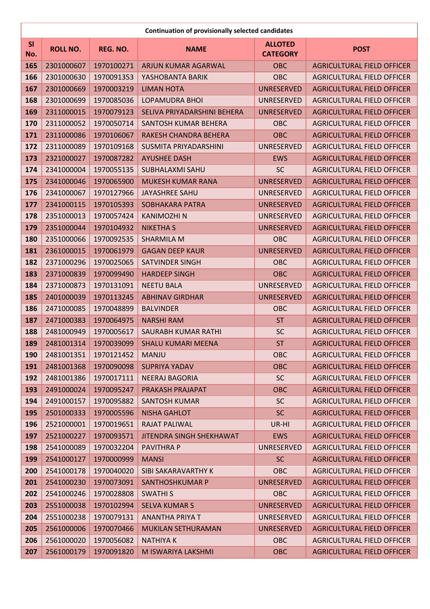|           |                 |            | <b>Continuation of provisionally selected candidates</b> |                                   |                                   |
|-----------|-----------------|------------|----------------------------------------------------------|-----------------------------------|-----------------------------------|
| SI<br>No. | <b>ROLL NO.</b> | REG. NO.   | <b>NAME</b>                                              | <b>ALLOTED</b><br><b>CATEGORY</b> | <b>POST</b>                       |
| 165       | 2301000607      | 1970100271 | ARJUN KUMAR AGARWAL                                      | <b>OBC</b>                        | <b>AGRICULTURAL FIELD OFFICER</b> |
| 166       | 2301000630      | 1970091353 | YASHOBANTA BARIK                                         | <b>OBC</b>                        | <b>AGRICULTURAL FIELD OFFICER</b> |
| 167       | 2301000669      | 1970003219 | <b>LIMAN HOTA</b>                                        | <b>UNRESERVED</b>                 | <b>AGRICULTURAL FIELD OFFICER</b> |
| 168       | 2301000699      | 1970085036 | <b>LOPAMUDRA BHOI</b>                                    | UNRESERVED                        | <b>AGRICULTURAL FIELD OFFICER</b> |
| 169       | 2311000015      | 1970079123 | SELIVA PRIYADARSHINI BEHERA                              | <b>UNRESERVED</b>                 | <b>AGRICULTURAL FIELD OFFICER</b> |
| 170       | 2311000052      | 1970050714 | SANTOSH KUMAR BEHERA                                     | <b>OBC</b>                        | <b>AGRICULTURAL FIELD OFFICER</b> |
| 171       | 2311000086      | 1970106067 | RAKESH CHANDRA BEHERA                                    | <b>OBC</b>                        | <b>AGRICULTURAL FIELD OFFICER</b> |
| 172       | 2311000089      | 1970109168 | SUSMITA PRIYADARSHINI                                    | UNRESERVED                        | <b>AGRICULTURAL FIELD OFFICER</b> |
| 173       | 2321000027      | 1970087282 | <b>AYUSHEE DASH</b>                                      | <b>EWS</b>                        | <b>AGRICULTURAL FIELD OFFICER</b> |
| 174       | 2341000004      | 1970055135 | <b>SUBHALAXMI SAHU</b>                                   | <b>SC</b>                         | <b>AGRICULTURAL FIELD OFFICER</b> |
| 175       | 2341000046      | 1970065900 | <b>MUKESH KUMAR RANA</b>                                 | <b>UNRESERVED</b>                 | <b>AGRICULTURAL FIELD OFFICER</b> |
| 176       | 2341000067      | 1970127966 | <b>JAYASHREE SAHU</b>                                    | UNRESERVED                        | <b>AGRICULTURAL FIELD OFFICER</b> |
| 177       | 2341000115      | 1970105393 | <b>SOBHAKARA PATRA</b>                                   | <b>UNRESERVED</b>                 | <b>AGRICULTURAL FIELD OFFICER</b> |
| 178       | 2351000013      | 1970057424 | <b>KANIMOZHI N</b>                                       | <b>UNRESERVED</b>                 | <b>AGRICULTURAL FIELD OFFICER</b> |
| 179       | 2351000044      | 1970104932 | <b>NIKETHA S</b>                                         | <b>UNRESERVED</b>                 | <b>AGRICULTURAL FIELD OFFICER</b> |
| 180       | 2351000066      | 1970092535 | <b>SHARMILA M</b>                                        | <b>OBC</b>                        | <b>AGRICULTURAL FIELD OFFICER</b> |
| 181       | 2361000015      | 1970061979 | <b>GAGAN DEEP KAUR</b>                                   | <b>UNRESERVED</b>                 | <b>AGRICULTURAL FIELD OFFICER</b> |
| 182       | 2371000296      | 1970025065 | <b>SATVINDER SINGH</b>                                   | <b>OBC</b>                        | <b>AGRICULTURAL FIELD OFFICER</b> |
| 183       | 2371000839      | 1970099490 | <b>HARDEEP SINGH</b>                                     | <b>OBC</b>                        | <b>AGRICULTURAL FIELD OFFICER</b> |
| 184       | 2371000873      | 1970131091 | <b>NEETU BALA</b>                                        | <b>UNRESERVED</b>                 | <b>AGRICULTURAL FIELD OFFICER</b> |
| 185       | 2401000039      | 1970113245 | <b>ABHINAV GIRDHAR</b>                                   | <b>UNRESERVED</b>                 | <b>AGRICULTURAL FIELD OFFICER</b> |
| 186       | 2471000085      | 1970048899 | <b>BALVINDER</b>                                         | OBC                               | <b>AGRICULTURAL FIELD OFFICER</b> |
| 187       | 2471000383      | 1970064975 | <b>NARSHI RAM</b>                                        | <b>ST</b>                         | <b>AGRICULTURAL FIELD OFFICER</b> |
| 188       | 2481000949      | 1970005617 | <b>SAURABH KUMAR RATHI</b>                               | <b>SC</b>                         | <b>AGRICULTURAL FIELD OFFICER</b> |
| 189       | 2481001314      | 1970039099 | <b>SHALU KUMARI MEENA</b>                                | <b>ST</b>                         | <b>AGRICULTURAL FIELD OFFICER</b> |
| 190       | 2481001351      | 1970121452 | <b>MANJU</b>                                             | OBC                               | <b>AGRICULTURAL FIELD OFFICER</b> |
| 191       | 2481001368      | 1970090098 | <b>SUPRIYA YADAV</b>                                     | <b>OBC</b>                        | <b>AGRICULTURAL FIELD OFFICER</b> |
| 192       | 2481001386      | 1970017111 | <b>NEERAJ BAGORIA</b>                                    | <b>SC</b>                         | <b>AGRICULTURAL FIELD OFFICER</b> |
| 193       | 2491000024      | 1970095247 | PRAKASH PRAJAPAT                                         | OBC                               | <b>AGRICULTURAL FIELD OFFICER</b> |
| 194       | 2491000157      | 1970095882 | <b>SANTOSH KUMAR</b>                                     | <b>SC</b>                         | <b>AGRICULTURAL FIELD OFFICER</b> |
| 195       | 2501000333      | 1970005596 | <b>NISHA GAHLOT</b>                                      | <b>SC</b>                         | <b>AGRICULTURAL FIELD OFFICER</b> |
| 196       | 2521000001      | 1970019651 | RAJAT PALIWAL                                            | UR-HI                             | <b>AGRICULTURAL FIELD OFFICER</b> |
| 197       | 2521000227      | 1970093571 | JITENDRA SINGH SHEKHAWAT                                 | <b>EWS</b>                        | <b>AGRICULTURAL FIELD OFFICER</b> |
| 198       | 2541000089      | 1970032204 | <b>PAVITHRAP</b>                                         | UNRESERVED                        | AGRICULTURAL FIELD OFFICER        |
| 199       | 2541000127      | 1970000999 | <b>MANSI</b>                                             | <b>SC</b>                         | <b>AGRICULTURAL FIELD OFFICER</b> |
| 200       | 2541000178      | 1970040020 | SIBI SAKARAVARTHY K                                      | <b>OBC</b>                        | <b>AGRICULTURAL FIELD OFFICER</b> |
| 201       | 2541000230      | 1970073091 | SANTHOSHKUMAR P                                          | <b>UNRESERVED</b>                 | <b>AGRICULTURAL FIELD OFFICER</b> |
| 202       | 2541000246      | 1970028808 | <b>SWATHIS</b>                                           | <b>OBC</b>                        | <b>AGRICULTURAL FIELD OFFICER</b> |
| 203       | 2551000038      | 1970102994 | <b>SELVA KUMAR S</b>                                     | <b>UNRESERVED</b>                 | <b>AGRICULTURAL FIELD OFFICER</b> |
| 204       | 2551000238      | 1970079131 | <b>ANANTHA PRIYA T</b>                                   | UNRESERVED                        | <b>AGRICULTURAL FIELD OFFICER</b> |
| 205       | 2561000006      | 1970070466 | MUKILAN SETHURAMAN                                       | <b>UNRESERVED</b>                 | <b>AGRICULTURAL FIELD OFFICER</b> |
| 206       | 2561000020      | 1970056082 | <b>NATHIYAK</b>                                          | <b>OBC</b>                        | <b>AGRICULTURAL FIELD OFFICER</b> |
| 207       | 2561000179      | 1970091820 | M ISWARIYA LAKSHMI                                       | <b>OBC</b>                        | <b>AGRICULTURAL FIELD OFFICER</b> |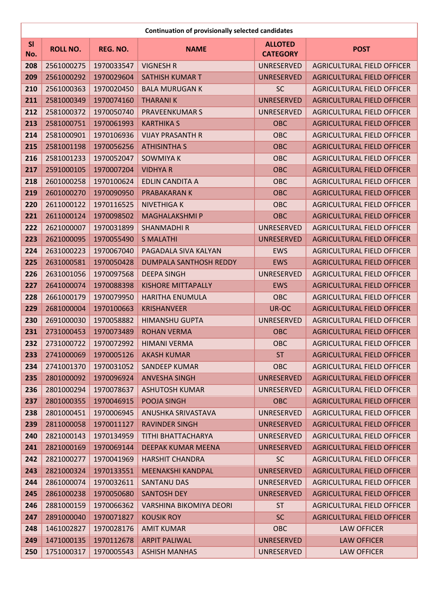|           | <b>Continuation of provisionally selected candidates</b> |            |                           |                                   |                                   |  |
|-----------|----------------------------------------------------------|------------|---------------------------|-----------------------------------|-----------------------------------|--|
| SI<br>No. | <b>ROLL NO.</b>                                          | REG. NO.   | <b>NAME</b>               | <b>ALLOTED</b><br><b>CATEGORY</b> | <b>POST</b>                       |  |
| 208       | 2561000275                                               | 1970033547 | <b>VIGNESH R</b>          | UNRESERVED                        | <b>AGRICULTURAL FIELD OFFICER</b> |  |
| 209       | 2561000292                                               | 1970029604 | <b>SATHISH KUMAR T</b>    | <b>UNRESERVED</b>                 | <b>AGRICULTURAL FIELD OFFICER</b> |  |
| 210       | 2561000363                                               | 1970020450 | <b>BALA MURUGAN K</b>     | <b>SC</b>                         | <b>AGRICULTURAL FIELD OFFICER</b> |  |
| 211       | 2581000349                                               | 1970074160 | <b>THARANIK</b>           | <b>UNRESERVED</b>                 | <b>AGRICULTURAL FIELD OFFICER</b> |  |
| 212       | 2581000372                                               | 1970050740 | <b>PRAVEENKUMAR S</b>     | <b>UNRESERVED</b>                 | <b>AGRICULTURAL FIELD OFFICER</b> |  |
| 213       | 2581000751                                               | 1970061993 | <b>KARTHIKA S</b>         | <b>OBC</b>                        | <b>AGRICULTURAL FIELD OFFICER</b> |  |
| 214       | 2581000901                                               | 1970106936 | <b>VIJAY PRASANTH R</b>   | OBC                               | <b>AGRICULTURAL FIELD OFFICER</b> |  |
| 215       | 2581001198                                               | 1970056256 | <b>ATHISINTHA S</b>       | <b>OBC</b>                        | <b>AGRICULTURAL FIELD OFFICER</b> |  |
| 216       | 2581001233                                               | 1970052047 | <b>SOWMIYA K</b>          | OBC                               | <b>AGRICULTURAL FIELD OFFICER</b> |  |
| 217       | 2591000105                                               | 1970007204 | <b>VIDHYA R</b>           | OBC                               | <b>AGRICULTURAL FIELD OFFICER</b> |  |
| 218       | 2601000258                                               | 1970100624 | <b>EDLIN CANDITA A</b>    | OBC                               | <b>AGRICULTURAL FIELD OFFICER</b> |  |
| 219       | 2601000270                                               | 1970090950 | PRABAKARAN K              | <b>OBC</b>                        | <b>AGRICULTURAL FIELD OFFICER</b> |  |
| 220       | 2611000122                                               | 1970116525 | <b>NIVETHIGAK</b>         | OBC                               | <b>AGRICULTURAL FIELD OFFICER</b> |  |
| 221       | 2611000124                                               | 1970098502 | <b>MAGHALAKSHMI P</b>     | <b>OBC</b>                        | <b>AGRICULTURAL FIELD OFFICER</b> |  |
| 222       | 2621000007                                               | 1970031899 | <b>SHANMADHIR</b>         | UNRESERVED                        | <b>AGRICULTURAL FIELD OFFICER</b> |  |
| 223       | 2621000095                                               | 1970055490 | <b>S MALATHI</b>          | <b>UNRESERVED</b>                 | <b>AGRICULTURAL FIELD OFFICER</b> |  |
| 224       | 2631000223                                               | 1970067040 | PAGADALA SIVA KALYAN      | <b>EWS</b>                        | <b>AGRICULTURAL FIELD OFFICER</b> |  |
| 225       | 2631000581                                               | 1970050428 | DUMPALA SANTHOSH REDDY    | <b>EWS</b>                        | <b>AGRICULTURAL FIELD OFFICER</b> |  |
| 226       | 2631001056                                               | 1970097568 | <b>DEEPA SINGH</b>        | UNRESERVED                        | <b>AGRICULTURAL FIELD OFFICER</b> |  |
| 227       | 2641000074                                               | 1970088398 | <b>KISHORE MITTAPALLY</b> | <b>EWS</b>                        | <b>AGRICULTURAL FIELD OFFICER</b> |  |
| 228       | 2661000179                                               | 1970079950 | <b>HARITHA ENUMULA</b>    | <b>OBC</b>                        | <b>AGRICULTURAL FIELD OFFICER</b> |  |
| 229       | 2681000004                                               | 1970100663 | <b>KRISHANVEER</b>        | UR-OC                             | <b>AGRICULTURAL FIELD OFFICER</b> |  |
| 230       | 2691000030                                               | 1970058882 | <b>HIMANSHU GUPTA</b>     | UNRESERVED                        | <b>AGRICULTURAL FIELD OFFICER</b> |  |
| 231       | 2731000453                                               | 1970073489 | <b>ROHAN VERMA</b>        | <b>OBC</b>                        | <b>AGRICULTURAL FIELD OFFICER</b> |  |
| 232       | 2731000722                                               | 1970072992 | <b>HIMANI VERMA</b>       | OBC                               | <b>AGRICULTURAL FIELD OFFICER</b> |  |
| 233       | 2741000069                                               | 1970005126 | <b>AKASH KUMAR</b>        | <b>ST</b>                         | <b>AGRICULTURAL FIELD OFFICER</b> |  |
| 234       | 2741001370                                               | 1970031052 | <b>SANDEEP KUMAR</b>      | <b>OBC</b>                        | <b>AGRICULTURAL FIELD OFFICER</b> |  |
| 235       | 2801000092                                               | 1970096924 | <b>ANVESHA SINGH</b>      | <b>UNRESERVED</b>                 | <b>AGRICULTURAL FIELD OFFICER</b> |  |
| 236       | 2801000294                                               | 1970078637 | <b>ASHUTOSH KUMAR</b>     | UNRESERVED                        | <b>AGRICULTURAL FIELD OFFICER</b> |  |
| 237       | 2801000355                                               | 1970046915 | POOJA SINGH               | <b>OBC</b>                        | <b>AGRICULTURAL FIELD OFFICER</b> |  |
| 238       | 2801000451                                               | 1970006945 | ANUSHKA SRIVASTAVA        | UNRESERVED                        | <b>AGRICULTURAL FIELD OFFICER</b> |  |
| 239       | 2811000058                                               | 1970011127 | <b>RAVINDER SINGH</b>     | <b>UNRESERVED</b>                 | <b>AGRICULTURAL FIELD OFFICER</b> |  |
| 240       | 2821000143                                               | 1970134959 | TITHI BHATTACHARYA        | UNRESERVED                        | <b>AGRICULTURAL FIELD OFFICER</b> |  |
| 241       | 2821000169                                               | 1970069144 | DEEPAK KUMAR MEENA        | <b>UNRESERVED</b>                 | <b>AGRICULTURAL FIELD OFFICER</b> |  |
| 242       | 2821000277                                               | 1970041969 | <b>HARSHIT CHANDRA</b>    | <b>SC</b>                         | <b>AGRICULTURAL FIELD OFFICER</b> |  |
| 243       | 2821000324                                               | 1970133551 | <b>MEENAKSHI KANDPAL</b>  | <b>UNRESERVED</b>                 | <b>AGRICULTURAL FIELD OFFICER</b> |  |
| 244       | 2861000074                                               | 1970032611 | <b>SANTANU DAS</b>        | UNRESERVED                        | <b>AGRICULTURAL FIELD OFFICER</b> |  |
| 245       | 2861000238                                               | 1970050680 | <b>SANTOSH DEY</b>        | <b>UNRESERVED</b>                 | <b>AGRICULTURAL FIELD OFFICER</b> |  |
| 246       | 2881000159                                               | 1970066362 | VARSHINA BIKOMIYA DEORI   | <b>ST</b>                         | <b>AGRICULTURAL FIELD OFFICER</b> |  |
| 247       | 2891000040                                               | 1970071827 | <b>KOUSIK ROY</b>         | <b>SC</b>                         | <b>AGRICULTURAL FIELD OFFICER</b> |  |
| 248       | 1461002827                                               | 1970028176 | <b>AMIT KUMAR</b>         | OBC                               | <b>LAW OFFICER</b>                |  |
| 249       | 1471000135                                               | 1970112678 | <b>ARPIT PALIWAL</b>      | <b>UNRESERVED</b>                 | <b>LAW OFFICER</b>                |  |
| 250       | 1751000317                                               | 1970005543 | <b>ASHISH MANHAS</b>      | UNRESERVED                        | <b>LAW OFFICER</b>                |  |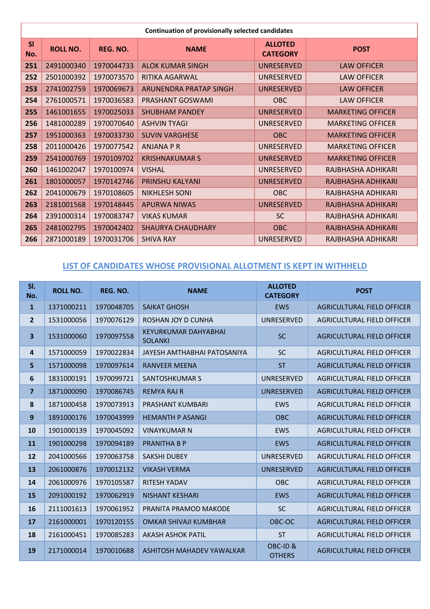| Continuation of provisionally selected candidates |                 |            |                          |                                   |                          |
|---------------------------------------------------|-----------------|------------|--------------------------|-----------------------------------|--------------------------|
| SI<br>No.                                         | <b>ROLL NO.</b> | REG. NO.   | <b>NAME</b>              | <b>ALLOTED</b><br><b>CATEGORY</b> | <b>POST</b>              |
| 251                                               | 2491000340      | 1970044733 | <b>ALOK KUMAR SINGH</b>  | <b>UNRESERVED</b>                 | <b>LAW OFFICER</b>       |
| 252                                               | 2501000392      | 1970073570 | RITIKA AGARWAL           | UNRESERVED                        | <b>LAW OFFICER</b>       |
| 253                                               | 2741002759      | 1970069673 | ARUNENDRA PRATAP SINGH   | <b>UNRESERVED</b>                 | <b>LAW OFFICER</b>       |
| 254                                               | 2761000571      | 1970036583 | PRASHANT GOSWAMI         | <b>OBC</b>                        | <b>LAW OFFICER</b>       |
| 255                                               | 1461001655      | 1970025033 | <b>SHUBHAM PANDEY</b>    | <b>UNRESERVED</b>                 | <b>MARKETING OFFICER</b> |
| 256                                               | 1481000289      | 1970070640 | <b>ASHVIN TYAGI</b>      | <b>UNRESERVED</b>                 | <b>MARKETING OFFICER</b> |
| 257                                               | 1951000363      | 1970033730 | <b>SUVIN VARGHESE</b>    | <b>OBC</b>                        | <b>MARKETING OFFICER</b> |
| 258                                               | 2011000426      | 1970077542 | <b>ANJANA P R</b>        | UNRESERVED                        | <b>MARKETING OFFICER</b> |
| 259                                               | 2541000769      | 1970109702 | <b>KRISHNAKUMAR S</b>    | UNRESERVED                        | <b>MARKETING OFFICER</b> |
| 260                                               | 1461002047      | 1970100974 | <b>VISHAL</b>            | <b>UNRESERVED</b>                 | RAJBHASHA ADHIKARI       |
| 261                                               | 1801000057      | 1970142746 | <b>PRINSHU KALYANI</b>   | UNRESERVED                        | RAJBHASHA ADHIKARI       |
| 262                                               | 2041000679      | 1970108605 | <b>NIKHLESH SONI</b>     | <b>OBC</b>                        | RAJBHASHA ADHIKARI       |
| 263                                               | 2181001568      | 1970148445 | <b>APURWA NIWAS</b>      | <b>UNRESERVED</b>                 | RAJBHASHA ADHIKARI       |
| 264                                               | 2391000314      | 1970083747 | <b>VIKAS KUMAR</b>       | <b>SC</b>                         | RAJBHASHA ADHIKARI       |
| 265                                               | 2481002795      | 1970042402 | <b>SHAURYA CHAUDHARY</b> | <b>OBC</b>                        | RAJBHASHA ADHIKARI       |
| 266                                               | 2871000189      | 1970031706 | <b>SHIVA RAY</b>         | <b>UNRESERVED</b>                 | RAJBHASHA ADHIKARI       |

#### **LIST OF CANDIDATES WHOSE PROVISIONAL ALLOTMENT IS KEPT IN WITHHELD**

| SI.<br>No.              | <b>ROLL NO.</b> | REG. NO.   | <b>NAME</b>                                   | <b>ALLOTED</b><br><b>CATEGORY</b> | <b>POST</b>                       |
|-------------------------|-----------------|------------|-----------------------------------------------|-----------------------------------|-----------------------------------|
| $\mathbf{1}$            | 1371000211      | 1970048705 | <b>SAIKAT GHOSH</b>                           | <b>EWS</b>                        | AGRICULTURAL FIELD OFFICER        |
| $\overline{2}$          | 1531000056      | 1970076129 | ROSHAN JOY D CUNHA                            | UNRESERVED                        | AGRICULTURAL FIELD OFFICER        |
| $\overline{\mathbf{3}}$ | 1531000060      | 1970097558 | <b>KEYURKUMAR DAHYABHAI</b><br><b>SOLANKI</b> | <b>SC</b>                         | AGRICULTURAL FIELD OFFICER        |
| 4                       | 1571000059      | 1970022834 | JAYESH AMTHABHAI PATOSANIYA                   | <b>SC</b>                         | AGRICULTURAL FIELD OFFICER        |
| 5                       | 1571000098      | 1970097614 | <b>RANVEER MEENA</b>                          | <b>ST</b>                         | <b>AGRICULTURAL FIELD OFFICER</b> |
| 6                       | 1831000191      | 1970099721 | <b>SANTOSHKUMAR S</b>                         | UNRESERVED                        | AGRICULTURAL FIELD OFFICER        |
| $\overline{7}$          | 1871000090      | 1970086745 | <b>REMYA RAJ R</b>                            | <b>UNRESERVED</b>                 | AGRICULTURAL FIELD OFFICER        |
| 8                       | 1871000458      | 1970073913 | <b>PRASHANT KUMBARI</b>                       | <b>EWS</b>                        | AGRICULTURAL FIELD OFFICER        |
| $\mathbf{9}$            | 1891000176      | 1970043999 | <b>HEMANTH P ASANGI</b>                       | <b>OBC</b>                        | AGRICULTURAL FIELD OFFICER        |
| 10                      | 1901000139      | 1970045092 | <b>VINAYKUMAR N</b>                           | <b>EWS</b>                        | AGRICULTURAL FIELD OFFICER        |
| 11                      | 1901000298      | 1970094189 | <b>PRANITHA B P</b>                           | <b>EWS</b>                        | AGRICULTURAL FIELD OFFICER        |
| 12                      | 2041000566      | 1970063758 | <b>SAKSHI DUBEY</b>                           | <b>UNRESERVED</b>                 | AGRICULTURAL FIELD OFFICER        |
| 13                      | 2061000876      | 1970012132 | <b>VIKASH VERMA</b>                           | <b>UNRESERVED</b>                 | AGRICULTURAL FIELD OFFICER        |
| 14                      | 2061000976      | 1970105587 | <b>RITESH YADAV</b>                           | <b>OBC</b>                        | AGRICULTURAL FIELD OFFICER        |
| 15                      | 2091000192      | 1970062919 | <b>NISHANT KESHARI</b>                        | <b>EWS</b>                        | <b>AGRICULTURAL FIELD OFFICER</b> |
| 16                      | 2111001613      | 1970061952 | PRANITA PRAMOD MAKODE                         | <b>SC</b>                         | AGRICULTURAL FIELD OFFICER        |
| 17                      | 2161000001      | 1970120155 | <b>OMKAR SHIVAJI KUMBHAR</b>                  | OBC-OC                            | AGRICULTURAL FIELD OFFICER        |
| 18                      | 2161000451      | 1970085283 | <b>AKASH ASHOK PATIL</b>                      | <b>ST</b>                         | AGRICULTURAL FIELD OFFICER        |
| 19                      | 2171000014      | 1970010688 | ASHITOSH MAHADEV YAWALKAR                     | OBC-ID&<br><b>OTHERS</b>          | AGRICULTURAL FIELD OFFICER        |